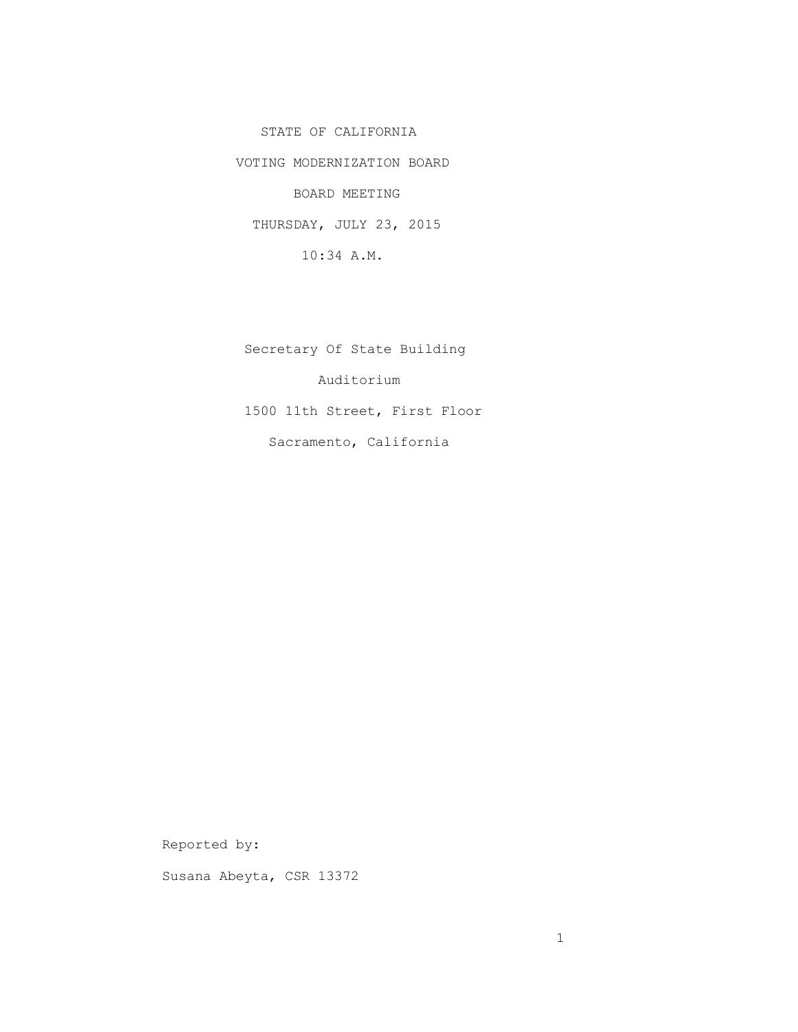STATE OF CALIFORNIA

VOTING MODERNIZATION BOARD

BOARD MEETING

THURSDAY, JULY 23, 2015

10:34 A.M.

 Secretary Of State Building Auditorium 1500 11th Street, First Floor Sacramento, California

Reported by:

Susana Abeyta, CSR 13372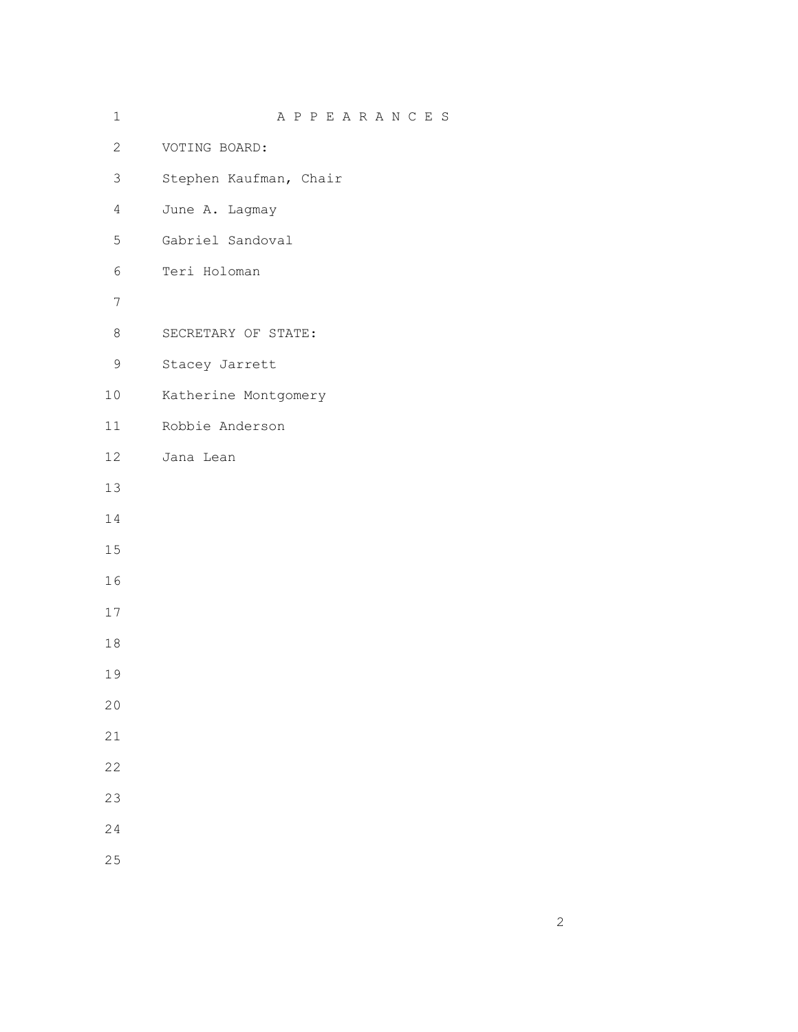| $1\,$          | APPEARANCES            |
|----------------|------------------------|
| $\overline{2}$ | VOTING BOARD:          |
| 3              | Stephen Kaufman, Chair |
| $\overline{4}$ | June A. Lagmay         |
| 5              | Gabriel Sandoval       |
| 6              | Teri Holoman           |
| $\overline{7}$ |                        |
| 8              | SECRETARY OF STATE:    |
| 9              | Stacey Jarrett         |
| 10             | Katherine Montgomery   |
| 11             | Robbie Anderson        |
| 12             | Jana Lean              |
| 13             |                        |
| $1\,4$         |                        |
| 15             |                        |
| 16             |                        |
| $17$           |                        |
| $1\,8$         |                        |
| 19             |                        |
| 20             |                        |
| 21             |                        |
| 22             |                        |
| 23             |                        |
| 24             |                        |
| 25             |                        |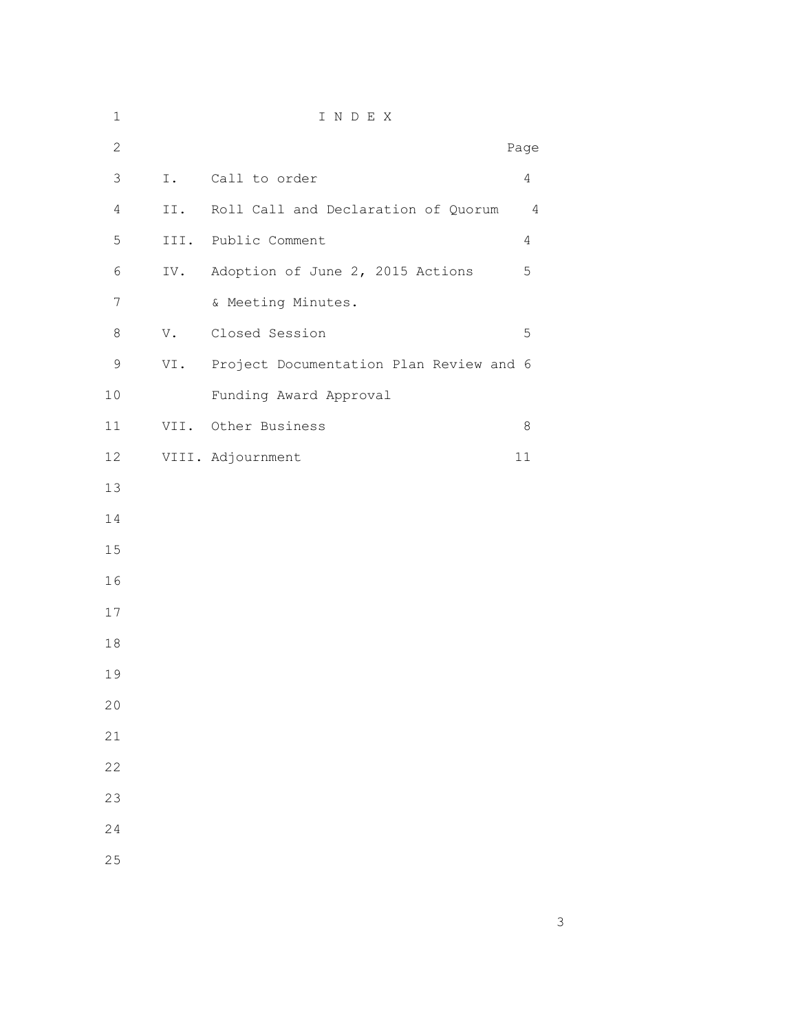| $\mathbf 1$    |      | INDEX                                   |                |
|----------------|------|-----------------------------------------|----------------|
| $\mathbf{2}$   |      |                                         | Page           |
| $\mathsf 3$    | I.   | Call to order                           | $\overline{4}$ |
| $\overline{4}$ | II.  | Roll Call and Declaration of Quorum     | $\overline{4}$ |
| 5              |      | III. Public Comment                     | $\overline{4}$ |
| 6              | IV.  | Adoption of June 2, 2015 Actions        | 5              |
| $\overline{7}$ |      | & Meeting Minutes.                      |                |
| 8              | V.   | Closed Session                          | 5              |
| $\mathsf 9$    | VI.  | Project Documentation Plan Review and 6 |                |
| 10             |      | Funding Award Approval                  |                |
| 11             | VII. | Other Business                          | 8              |
| 12             |      | VIII. Adjournment                       | 11             |
| 13             |      |                                         |                |
| 14             |      |                                         |                |
| 15             |      |                                         |                |
| 16             |      |                                         |                |
| 17             |      |                                         |                |
| 18             |      |                                         |                |
| 19             |      |                                         |                |
| 20             |      |                                         |                |
| 21             |      |                                         |                |
| 22             |      |                                         |                |
| 23             |      |                                         |                |
| 24             |      |                                         |                |
| 25             |      |                                         |                |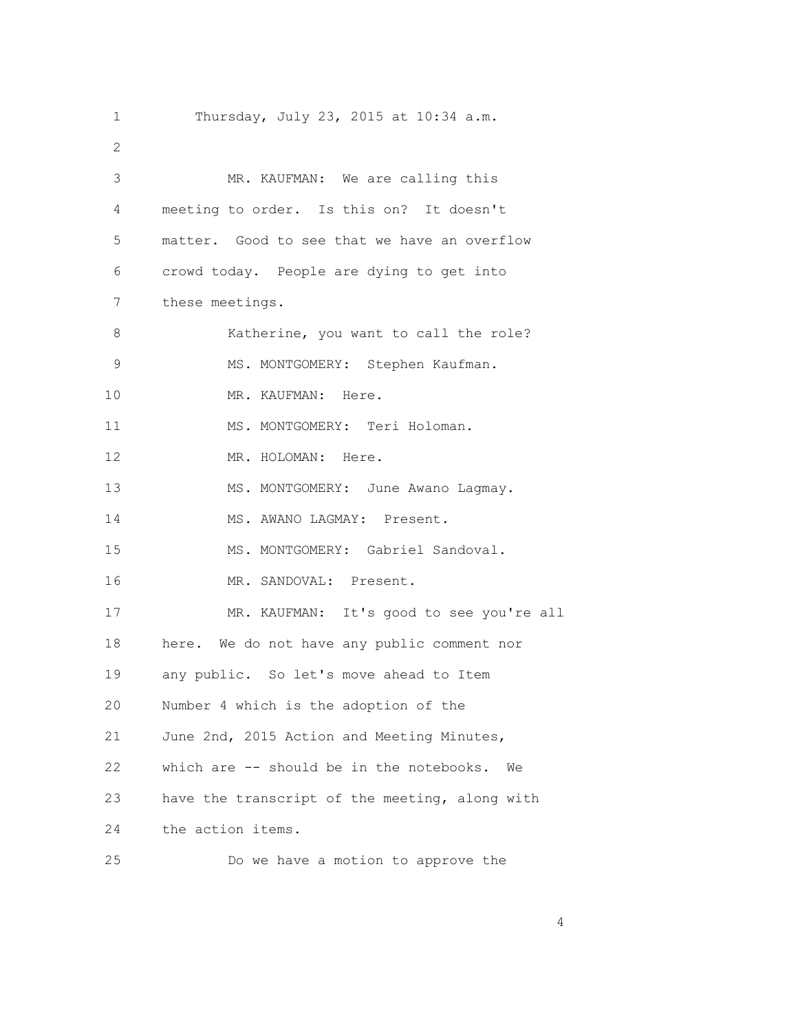| $\mathbf 1$ | Thursday, July 23, 2015 at 10:34 a.m.          |
|-------------|------------------------------------------------|
| 2           |                                                |
| 3           | MR. KAUFMAN: We are calling this               |
| 4           | meeting to order. Is this on? It doesn't       |
| 5           | matter. Good to see that we have an overflow   |
| 6           | crowd today. People are dying to get into      |
| 7           | these meetings.                                |
| 8           | Katherine, you want to call the role?          |
| 9           | MS. MONTGOMERY: Stephen Kaufman.               |
| 10          | MR. KAUFMAN: Here.                             |
| 11          | MS. MONTGOMERY: Teri Holoman.                  |
| 12          | MR. HOLOMAN: Here.                             |
| 13          | MS. MONTGOMERY: June Awano Lagmay.             |
| 14          | MS. AWANO LAGMAY: Present.                     |
| 15          | MS. MONTGOMERY: Gabriel Sandoval.              |
| 16          | MR. SANDOVAL: Present.                         |
| 17          | MR. KAUFMAN: It's good to see you're all       |
| 18          | here. We do not have any public comment nor    |
| 19          | any public. So let's move ahead to Item        |
| 20          | Number 4 which is the adoption of the          |
| 21          | June 2nd, 2015 Action and Meeting Minutes,     |
| 22          | which are -- should be in the notebooks.<br>We |
| 23          | have the transcript of the meeting, along with |
| 24          | the action items.                              |
| 25          | Do we have a motion to approve the             |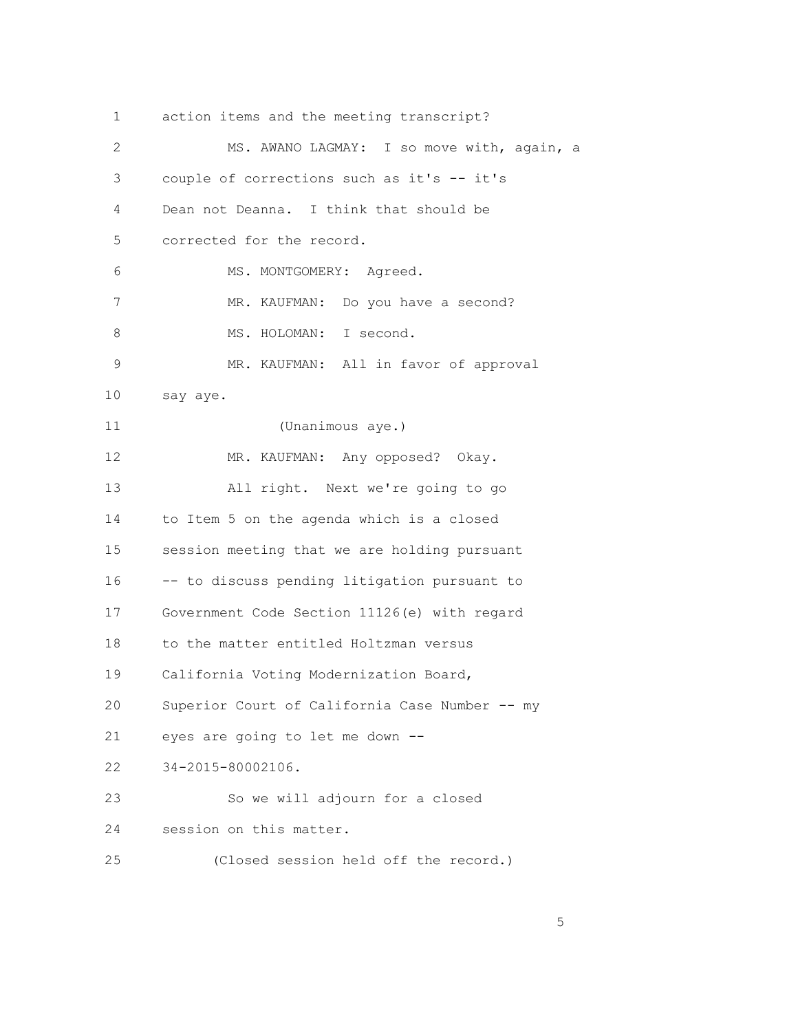1 action items and the meeting transcript? 2 MS. AWANO LAGMAY: I so move with, again, a 3 couple of corrections such as it's -- it's 4 Dean not Deanna. I think that should be 5 corrected for the record. 6 MS. MONTGOMERY: Agreed. 7 MR. KAUFMAN: Do you have a second? 8 MS. HOLOMAN: I second. 9 MR. KAUFMAN: All in favor of approval 10 say aye. 11 (Unanimous aye.) 12 MR. KAUFMAN: Any opposed? Okay. 13 All right. Next we're going to go 14 to Item 5 on the agenda which is a closed 15 session meeting that we are holding pursuant 16 -- to discuss pending litigation pursuant to 17 Government Code Section 11126(e) with regard 18 to the matter entitled Holtzman versus 19 California Voting Modernization Board, 20 Superior Court of California Case Number -- my 21 eyes are going to let me down -- 22 34-2015-80002106. 23 So we will adjourn for a closed 24 session on this matter. 25 (Closed session held off the record.)

 $\sim$  5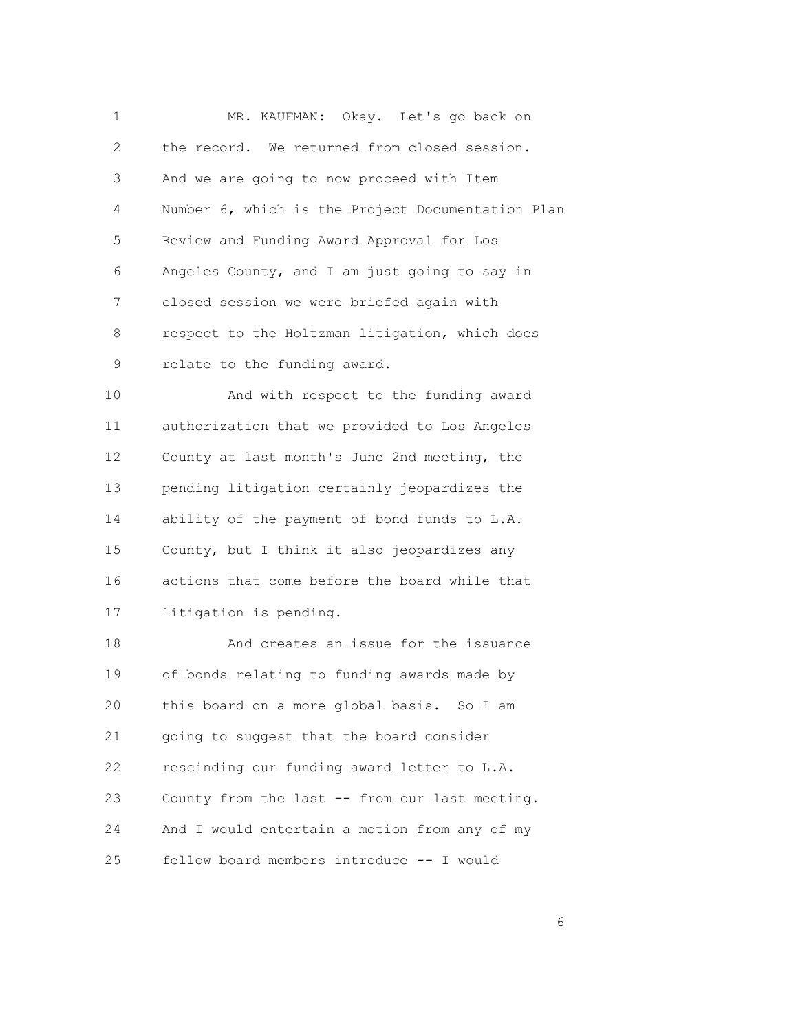|   | MR. KAUFMAN: Okay. Let's go back on               |
|---|---------------------------------------------------|
| 2 | the record. We returned from closed session.      |
| 3 | And we are going to now proceed with Item         |
| 4 | Number 6, which is the Project Documentation Plan |
| 5 | Review and Funding Award Approval for Los         |
| 6 | Angeles County, and I am just going to say in     |
| 7 | closed session we were briefed again with         |
| 8 | respect to the Holtzman litigation, which does    |
| 9 | relate to the funding award.                      |

 10 And with respect to the funding award 11 authorization that we provided to Los Angeles 12 County at last month's June 2nd meeting, the 13 pending litigation certainly jeopardizes the 14 ability of the payment of bond funds to L.A. 15 County, but I think it also jeopardizes any 16 actions that come before the board while that 17 litigation is pending.

 18 And creates an issue for the issuance 19 of bonds relating to funding awards made by 20 this board on a more global basis. So I am 21 going to suggest that the board consider 22 rescinding our funding award letter to L.A. 23 County from the last -- from our last meeting. 24 And I would entertain a motion from any of my 25 fellow board members introduce -- I would

 $\sim$  6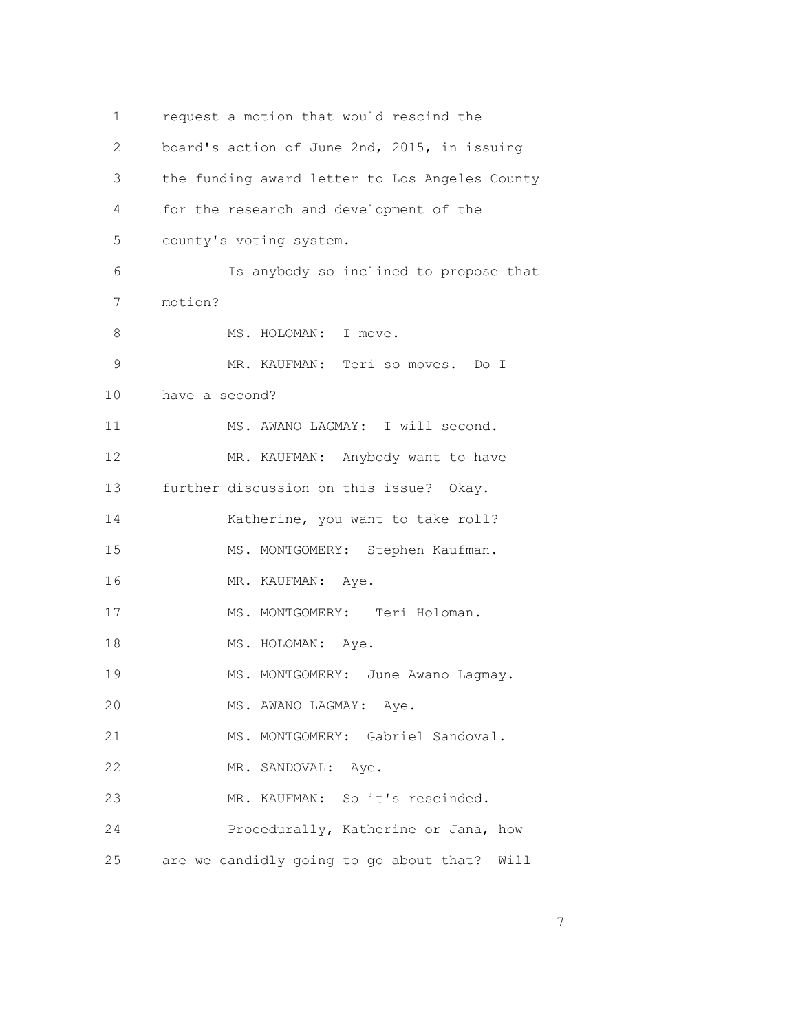| 1              | request a motion that would rescind the        |
|----------------|------------------------------------------------|
| $\overline{2}$ | board's action of June 2nd, 2015, in issuing   |
| 3              | the funding award letter to Los Angeles County |
| 4              | for the research and development of the        |
| 5              | county's voting system.                        |
| 6              | Is anybody so inclined to propose that         |
| 7              | motion?                                        |
| 8              | MS. HOLOMAN: I move.                           |
| $\mathsf 9$    | MR. KAUFMAN: Teri so moves. Do I               |
| 10             | have a second?                                 |
| 11             | MS. AWANO LAGMAY: I will second.               |
| 12             | MR. KAUFMAN: Anybody want to have              |
| 13             | further discussion on this issue? Okay.        |
| 14             | Katherine, you want to take roll?              |
| 15             | MS. MONTGOMERY: Stephen Kaufman.               |
| 16             | MR. KAUFMAN:<br>Aye.                           |
| 17             | MS. MONTGOMERY: Teri Holoman.                  |
| 18             | MS. HOLOMAN: Aye.                              |
| 19             | MS. MONTGOMERY: June Awano Lagmay.             |
| 20             | MS. AWANO LAGMAY: Aye.                         |
| 21             | MS. MONTGOMERY: Gabriel Sandoval.              |
| 22             | MR. SANDOVAL: Aye.                             |
| 23             | MR. KAUFMAN: So it's rescinded.                |
| 24             | Procedurally, Katherine or Jana, how           |
| 25             | are we candidly going to go about that? Will   |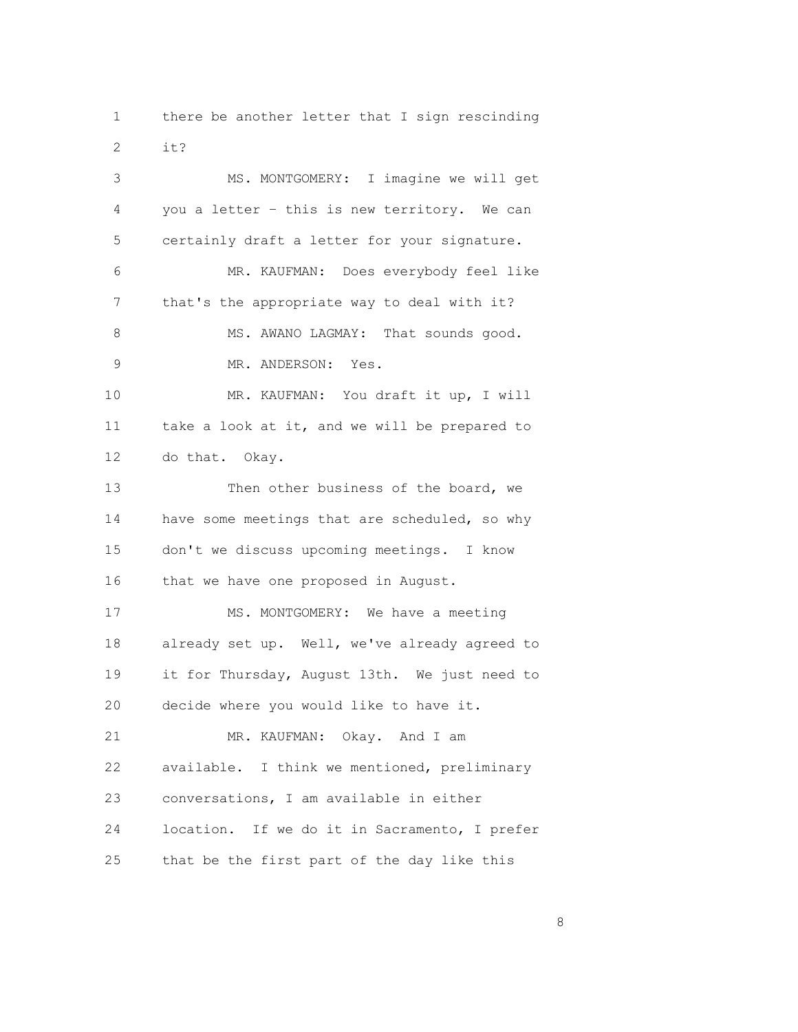1 there be another letter that I sign rescinding 2 it? 3 MS. MONTGOMERY: I imagine we will get 4 you a letter – this is new territory. We can 5 certainly draft a letter for your signature. 6 MR. KAUFMAN: Does everybody feel like 7 that's the appropriate way to deal with it? 8 MS. AWANO LAGMAY: That sounds good. 9 MR. ANDERSON: Yes. 10 MR. KAUFMAN: You draft it up, I will 11 take a look at it, and we will be prepared to 12 do that. Okay. 13 Then other business of the board, we 14 have some meetings that are scheduled, so why 15 don't we discuss upcoming meetings. I know 16 that we have one proposed in August. 17 MS. MONTGOMERY: We have a meeting 18 already set up. Well, we've already agreed to 19 it for Thursday, August 13th. We just need to 20 decide where you would like to have it. 21 MR. KAUFMAN: Okay. And I am 22 available. I think we mentioned, preliminary 23 conversations, I am available in either 24 location. If we do it in Sacramento, I prefer 25 that be the first part of the day like this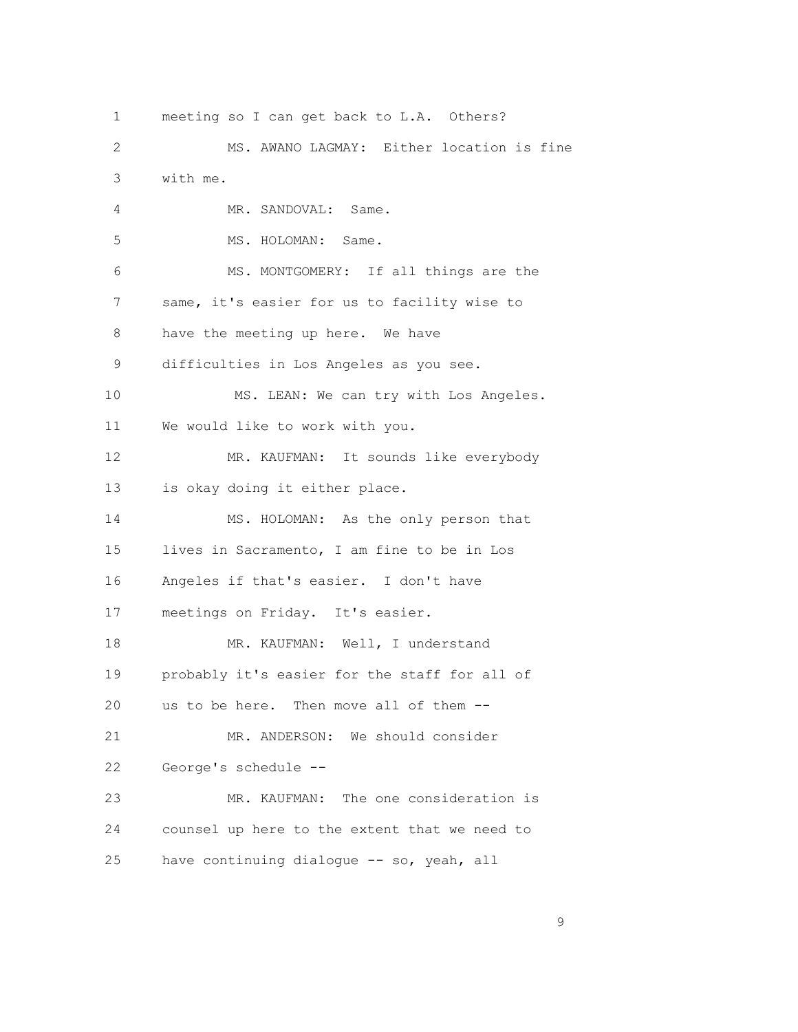1 meeting so I can get back to L.A. Others? 2 MS. AWANO LAGMAY: Either location is fine 3 with me. 4 MR. SANDOVAL: Same. 5 MS. HOLOMAN: Same. 6 MS. MONTGOMERY: If all things are the 7 same, it's easier for us to facility wise to 8 have the meeting up here. We have 9 difficulties in Los Angeles as you see. 10 MS. LEAN: We can try with Los Angeles. 11 We would like to work with you. 12 MR. KAUFMAN: It sounds like everybody 13 is okay doing it either place. 14 MS. HOLOMAN: As the only person that 15 lives in Sacramento, I am fine to be in Los 16 Angeles if that's easier. I don't have 17 meetings on Friday. It's easier. 18 MR. KAUFMAN: Well, I understand 19 probably it's easier for the staff for all of 20 us to be here. Then move all of them -- 21 MR. ANDERSON: We should consider 22 George's schedule -- 23 MR. KAUFMAN: The one consideration is 24 counsel up here to the extent that we need to 25 have continuing dialogue -- so, yeah, all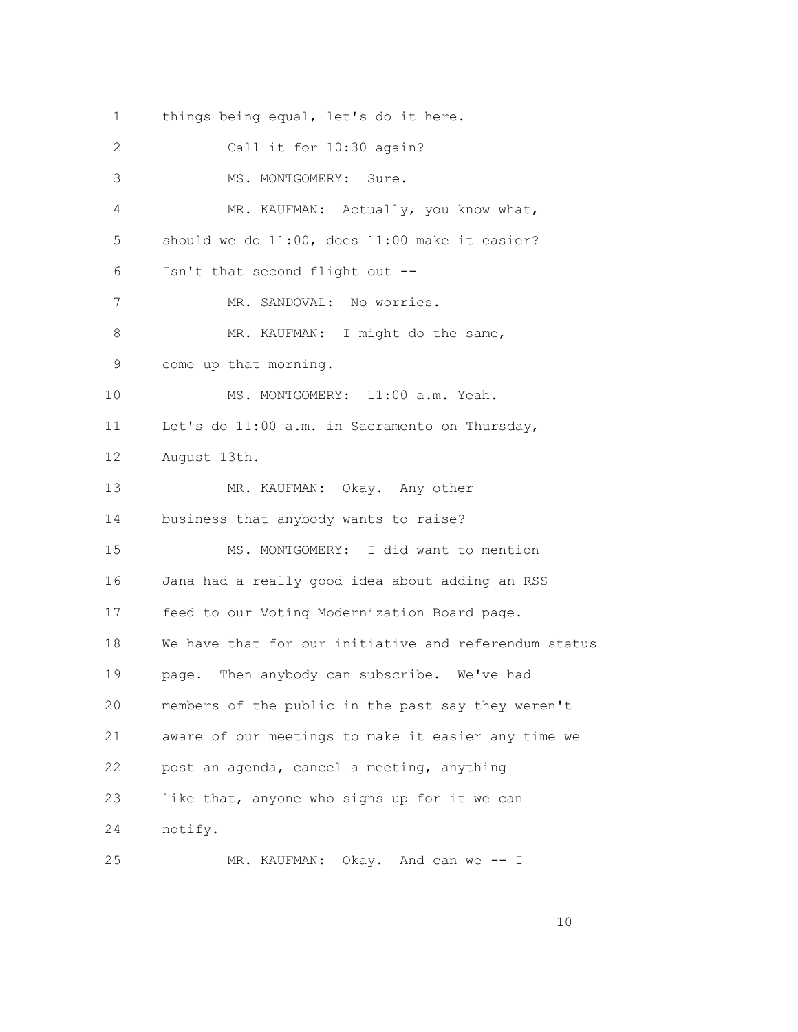1 things being equal, let's do it here. 2 Call it for 10:30 again? 3 MS. MONTGOMERY: Sure. 4 MR. KAUFMAN: Actually, you know what, 5 should we do 11:00, does 11:00 make it easier? 6 Isn't that second flight out -- 7 MR. SANDOVAL: No worries. 8 MR. KAUFMAN: I might do the same, 9 come up that morning. 10 MS. MONTGOMERY: 11:00 a.m. Yeah. 11 Let's do 11:00 a.m. in Sacramento on Thursday, 12 August 13th. 13 MR. KAUFMAN: Okay. Any other 14 business that anybody wants to raise? 15 MS. MONTGOMERY: I did want to mention 16 Jana had a really good idea about adding an RSS 17 feed to our Voting Modernization Board page. 18 We have that for our initiative and referendum status 19 page. Then anybody can subscribe. We've had 20 members of the public in the past say they weren't 21 aware of our meetings to make it easier any time we 22 post an agenda, cancel a meeting, anything 23 like that, anyone who signs up for it we can 24 notify. 25 MR. KAUFMAN: Okay. And can we -- I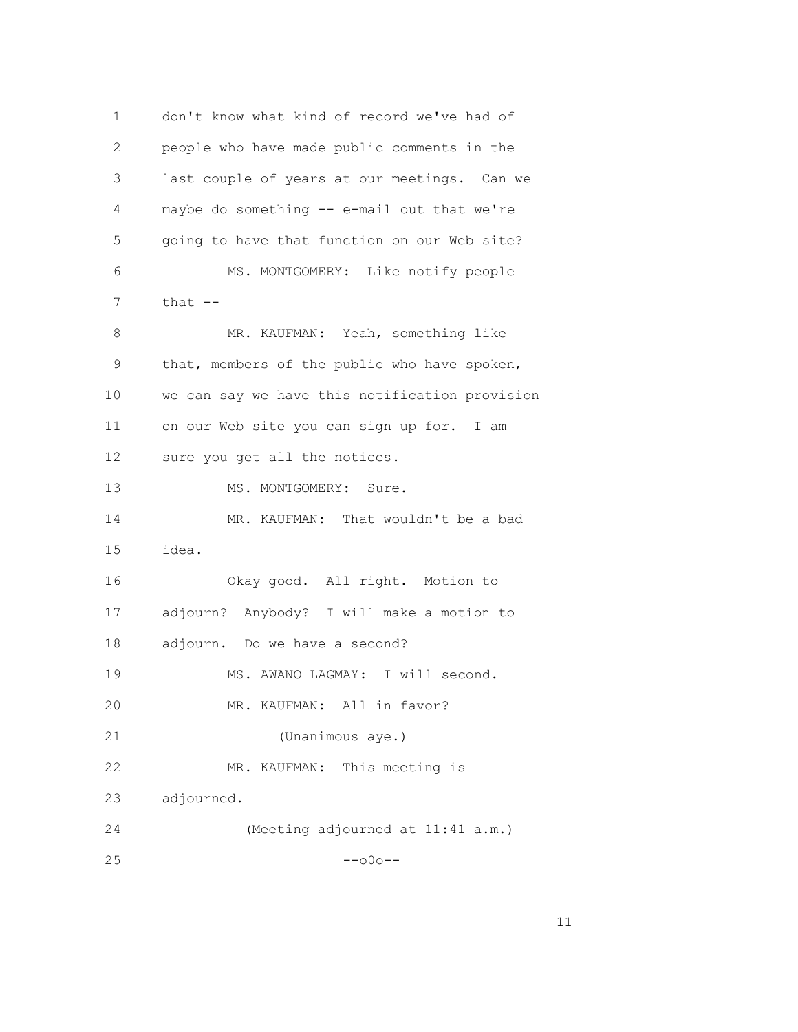1 don't know what kind of record we've had of 2 people who have made public comments in the 3 last couple of years at our meetings. Can we 4 maybe do something -- e-mail out that we're 5 going to have that function on our Web site? 6 MS. MONTGOMERY: Like notify people  $7$  that  $--$ 8 MR. KAUFMAN: Yeah, something like 9 that, members of the public who have spoken, 10 we can say we have this notification provision 11 on our Web site you can sign up for. I am 12 sure you get all the notices. 13 MS. MONTGOMERY: Sure. 14 MR. KAUFMAN: That wouldn't be a bad 15 idea. 16 Okay good. All right. Motion to 17 adjourn? Anybody? I will make a motion to 18 adjourn. Do we have a second? 19 MS. AWANO LAGMAY: I will second. 20 MR. KAUFMAN: All in favor? 21 (Unanimous aye.) 22 MR. KAUFMAN: This meeting is 23 adjourned. 24 (Meeting adjourned at 11:41 a.m.)  $25$  --o0o--